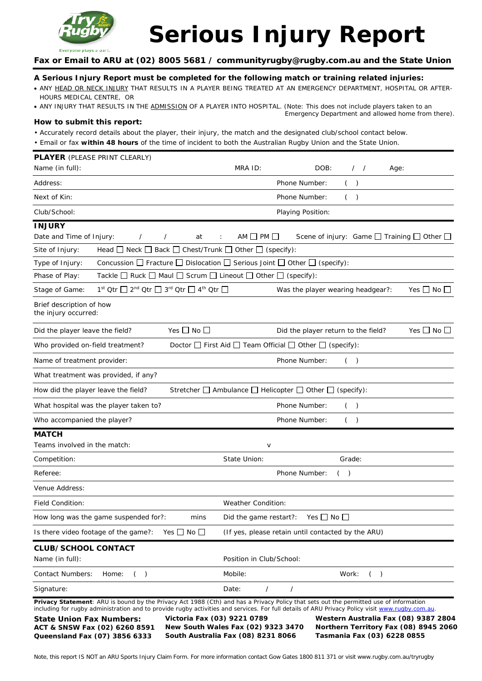

# **Serious Injury Report**

**Fax or Email to ARU at (02) 8005 5681 / communityrugby@rugby.com.au and the State Union**

# **A Serious Injury Report must be completed for the following match or training related injuries:**

- ANY HEAD OR NECK INJURY THAT RESULTS IN A PLAYER BEING TREATED AT AN EMERGENCY DEPARTMENT, HOSPITAL OR AFTER-HOURS MEDICAL CENTRE, OR
- ANY INJURY THAT RESULTS IN THE ADMISSION OF A PLAYER INTO HOSPITAL. (Note: This does not include players taken to an Emergency Department and allowed home from there).

#### **How to submit this report:**

- Accurately record details about the player, their injury, the match and the designated club/school contact below.
- Email or fax **within 48 hours** of the time of incident to both the Australian Rugby Union and the State Union.

| <b>PLAYER</b> (PLEASE PRINT CLEARLY)<br>Name (in full):                                                                       | MRA ID:<br>DOB:<br>$\frac{1}{2}$<br>Age:                                                                                                                                                                                                                                                 |
|-------------------------------------------------------------------------------------------------------------------------------|------------------------------------------------------------------------------------------------------------------------------------------------------------------------------------------------------------------------------------------------------------------------------------------|
| Address:                                                                                                                      | Phone Number:<br>( )                                                                                                                                                                                                                                                                     |
| Next of Kin:                                                                                                                  | Phone Number:<br>$($ )                                                                                                                                                                                                                                                                   |
| Club/School:                                                                                                                  | Playing Position:                                                                                                                                                                                                                                                                        |
| <b>INJURY</b>                                                                                                                 |                                                                                                                                                                                                                                                                                          |
| Date and Time of Injury:<br>$\prime$<br>at<br>$\prime$                                                                        | $AM$ PM<br>Scene of injury: Game $\Box$ Training $\Box$ Other $\Box$<br>÷                                                                                                                                                                                                                |
| Head $\Box$ Neck $\Box$ Back $\Box$ Chest/Trunk $\Box$<br>Site of Injury:                                                     | Other $\Box$ (specify):                                                                                                                                                                                                                                                                  |
| Type of Injury:                                                                                                               | Concussion $\Box$ Fracture $\Box$ Dislocation $\Box$ Serious Joint $\Box$ Other $\Box$ (specify):                                                                                                                                                                                        |
| Tackle $\Box$ Ruck $\Box$ Maul $\Box$ Scrum $\Box$ Lineout $\Box$ Other $\Box$ (specify):<br>Phase of Play:                   |                                                                                                                                                                                                                                                                                          |
| $1^{\text{st}}$ Qtr $\Box$ $2^{\text{nd}}$ Qtr $\Box$ $3^{\text{rd}}$ Qtr $\Box$ $4^{\text{th}}$ Qtr $\Box$<br>Stage of Game: | Yes $\Box$ No $\Box$<br>Was the player wearing headgear?:                                                                                                                                                                                                                                |
| Brief description of how<br>the injury occurred:                                                                              |                                                                                                                                                                                                                                                                                          |
| Yes $\Box$ No $\Box$<br>Did the player leave the field?                                                                       | Yes □ No □<br>Did the player return to the field?                                                                                                                                                                                                                                        |
| Who provided on-field treatment?                                                                                              | Doctor $\Box$ First Aid $\Box$ Team Official $\Box$ Other $\Box$ (specify):                                                                                                                                                                                                              |
| Name of treatment provider:                                                                                                   | Phone Number:<br>$($ )                                                                                                                                                                                                                                                                   |
| What treatment was provided, if any?                                                                                          |                                                                                                                                                                                                                                                                                          |
| How did the player leave the field?                                                                                           | Stretcher □ Ambulance □ Helicopter □ Other □ (specify):                                                                                                                                                                                                                                  |
| What hospital was the player taken to?                                                                                        | Phone Number:<br>$\left($<br>$\lambda$                                                                                                                                                                                                                                                   |
| Who accompanied the player?                                                                                                   | Phone Number:<br>$($ )                                                                                                                                                                                                                                                                   |
| <b>MATCH</b>                                                                                                                  |                                                                                                                                                                                                                                                                                          |
| Teams involved in the match:                                                                                                  | $\vee$                                                                                                                                                                                                                                                                                   |
| Competition:                                                                                                                  | State Union:<br>Grade:                                                                                                                                                                                                                                                                   |
| Referee:                                                                                                                      | Phone Number:<br>$($ )                                                                                                                                                                                                                                                                   |
| Venue Address:                                                                                                                |                                                                                                                                                                                                                                                                                          |
| Field Condition:                                                                                                              | Weather Condition:                                                                                                                                                                                                                                                                       |
| How long was the game suspended for?:<br>mins                                                                                 | Did the game restart?: Yes $\Box$ No $\Box$                                                                                                                                                                                                                                              |
| Yes $\Box$ No $\Box$<br>Is there video footage of the game?:                                                                  | (If yes, please retain until contacted by the ARU)                                                                                                                                                                                                                                       |
| <b>CLUB/SCHOOL CONTACT</b>                                                                                                    |                                                                                                                                                                                                                                                                                          |
| Name (in full):                                                                                                               | Position in Club/School:                                                                                                                                                                                                                                                                 |
| $($ )<br>Contact Numbers:<br>Home:                                                                                            | Mobile:<br>$($ )<br>Work:                                                                                                                                                                                                                                                                |
| Signature:                                                                                                                    | Date:<br>$\prime$                                                                                                                                                                                                                                                                        |
|                                                                                                                               | Privacy Statement: ARU is bound by the Privacy Act 1988 (Cth) and has a Privacy Policy that sets out the permitted use of information<br>including for rugby administration and to provide rugby activities and services. For full details of ARU Privacy Policy visit www.rugby.com.au. |
| Victoria Fax (03) 9221 0789<br><b>State Union Fax Numbers:</b><br>ACT & SNSW Fax (02) 6260 8591                               | Western Australia Fax (08) 9387 2804<br>New South Wales Fax (02) 9323 3470 Northern Territory Fax (08) 8945 2060                                                                                                                                                                         |

**ACT & SNSW Fax (02) 6260 8591 Queensland Fax (07) 3856 6333** 

**New South Wales Fax (02) 9323 3470 South Australia Fax (08) 8231 8066**

**Northern Territory Fax (08) 8945 2060 Tasmania Fax (03) 6228 0855**

Note, this report IS NOT an ARU Sports Injury Claim Form. For more information contact Gow Gates 1800 811 371 or visit www.rugby.com.au/tryrugby